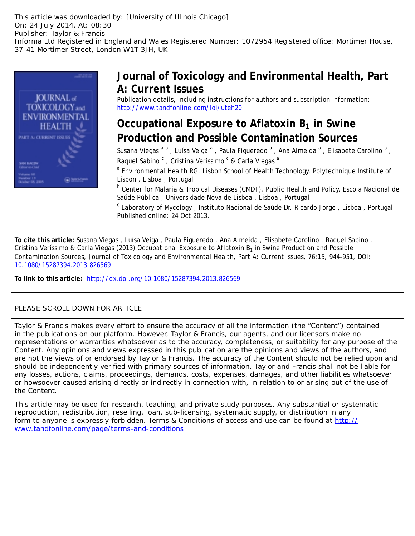This article was downloaded by: [University of Illinois Chicago] On: 24 July 2014, At: 08:30 Publisher: Taylor & Francis Informa Ltd Registered in England and Wales Registered Number: 1072954 Registered office: Mortimer House, 37-41 Mortimer Street, London W1T 3JH, UK



# **Journal of Toxicology and Environmental Health, Part A: Current Issues**

Publication details, including instructions for authors and subscription information: <http://www.tandfonline.com/loi/uteh20>

# **Occupational Exposure to Aflatoxin B1 in Swine Production and Possible Contamination Sources**

Susana Viegas <sup>a b</sup> , Luísa Veiga <sup>a</sup> , Paula Figueredo <sup>a</sup> , Ana Almeida <sup>a</sup> , Elisabete Carolino <sup>a</sup> , Raquel Sabino <sup>c</sup>, Cristina Veríssimo <sup>c</sup> & Carla Viegas <sup>a</sup>

<sup>a</sup> Environmental Health RG, Lisbon School of Health Technology, Polytechnique Institute of Lisbon , Lisboa , Portugal

<sup>b</sup> Center for Malaria & Tropical Diseases (CMDT), Public Health and Policy, Escola Nacional de Saúde Pública , Universidade Nova de Lisboa , Lisboa , Portugal

<sup>c</sup> Laboratory of Mycology, Instituto Nacional de Saúde Dr. Ricardo Jorge, Lisboa, Portugal Published online: 24 Oct 2013.

**To cite this article:** Susana Viegas , Luísa Veiga , Paula Figueredo , Ana Almeida , Elisabete Carolino , Raquel Sabino , Cristina Veríssimo & Carla Viegas (2013) Occupational Exposure to Aflatoxin  $B_1$  in Swine Production and Possible Contamination Sources, Journal of Toxicology and Environmental Health, Part A: Current Issues, 76:15, 944-951, DOI: [10.1080/15287394.2013.826569](http://www.tandfonline.com/action/showCitFormats?doi=10.1080/15287394.2013.826569)

**To link to this article:** <http://dx.doi.org/10.1080/15287394.2013.826569>

## PLEASE SCROLL DOWN FOR ARTICLE

Taylor & Francis makes every effort to ensure the accuracy of all the information (the "Content") contained in the publications on our platform. However, Taylor & Francis, our agents, and our licensors make no representations or warranties whatsoever as to the accuracy, completeness, or suitability for any purpose of the Content. Any opinions and views expressed in this publication are the opinions and views of the authors, and are not the views of or endorsed by Taylor & Francis. The accuracy of the Content should not be relied upon and should be independently verified with primary sources of information. Taylor and Francis shall not be liable for any losses, actions, claims, proceedings, demands, costs, expenses, damages, and other liabilities whatsoever or howsoever caused arising directly or indirectly in connection with, in relation to or arising out of the use of the Content.

This article may be used for research, teaching, and private study purposes. Any substantial or systematic reproduction, redistribution, reselling, loan, sub-licensing, systematic supply, or distribution in any form to anyone is expressly forbidden. Terms & Conditions of access and use can be found at [http://](http://www.tandfonline.com/page/terms-and-conditions) [www.tandfonline.com/page/terms-and-conditions](http://www.tandfonline.com/page/terms-and-conditions)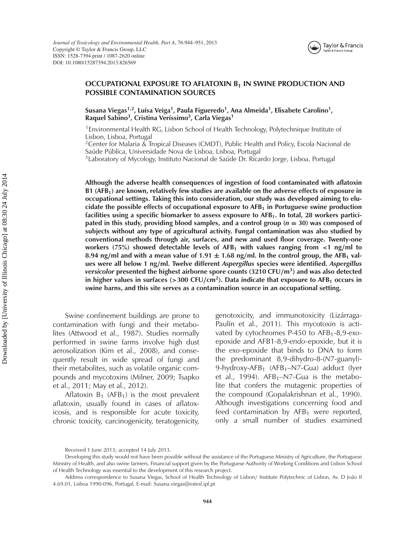*Journal of Toxicology and Environmental Health, Part A*, 76:944–951, 2013



## **OCCUPATIONAL EXPOSURE TO AFLATOXIN B1 IN SWINE PRODUCTION AND POSSIBLE CONTAMINATION SOURCES**

## **Susana Viegas1,2, Luísa Veiga1, Paula Figueredo1, Ana Almeida1, Elisabete Carolino1, Raquel Sabino3, Cristina Veríssimo3, Carla Viegas1**

1Environmental Health RG, Lisbon School of Health Technology, Polytechnique Institute of Lisbon, Lisboa, Portugal

2Center for Malaria & Tropical Diseases (CMDT), Public Health and Policy, Escola Nacional de Saúde Pública, Universidade Nova de Lisboa, Lisboa, Portugal

3Laboratory of Mycology, Instituto Nacional de Saúde Dr. Ricardo Jorge, Lisboa, Portugal

**Although the adverse health consequences of ingestion of food contaminated with aflatoxin B1 (AFB1) are known, relatively few studies are available on the adverse effects of exposure in occupational settings. Taking this into consideration, our study was developed aiming to elucidate the possible effects of occupational exposure to AFB1 in Portuguese swine production** facilities using a specific biomarker to assess exposure to AFB<sub>1</sub>. In total, 28 workers partici**pated in this study, providing blood samples, and a control group (***n* **<sup>=</sup> 30) was composed of subjects without any type of agricultural activity. Fungal contamination was also studied by conventional methods through air, surfaces, and new and used floor coverage. Twenty-one workers (75%) showed detectable levels of AFB1 with values ranging from** *<***1 ng***/***ml to** 8.94 ng/ml and with a mean value of 1.91  $\pm$  1.68 ng/ml. In the control group, the AFB<sub>1</sub> val**ues were all below 1 ng***/***ml. Twelve different** *Aspergillus* **species were identified.** *Aspergillus versicolor* **presented the highest airborne spore counts (3210 CFU***/***m3) and was also detected in higher values in surfaces (>300 CFU/cm<sup>2</sup>). Data indicate that exposure to AFB<sub>1</sub> occurs in swine barns, and this site serves as a contamination source in an occupational setting.**

Swine confinement buildings are prone to contamination with fungi and their metabolites (Attwood et al., 1987). Studies normally performed in swine farms involve high dust aerosolization (Kim et al., 2008), and consequently result in wide spread of fungi and their metabolites, such as volatile organic compounds and mycotoxins (Milner, 2009; Tsapko et al., 2011; May et al., 2012).

Aflatoxin  $B_1$  (AFB<sub>1</sub>) is the most prevalent aflatoxin, usually found in cases of aflatoxicosis, and is responsible for acute toxicity, chronic toxicity, carcinogenicity, teratogenicity, genotoxicity, and immunotoxicity (Lizárraga-Paulín et al., 2011). This mycotoxin is activated by cytochromes P-450 to AFB<sub>1</sub>-8,9-exoepoxide and AFB1-8,9-*endo*-epoxide, but it is the *exo*-epoxide that binds to DNA to form the predominant 8,9-dihydro-8-(*N*7-guanyl)- 9-hydroxy-AFB<sub>1</sub> (AFB<sub>1</sub>-N7-Gua) adduct (Iyer et al., 1994).  $AFB_1-N7$ -Gua is the metabolite that confers the mutagenic properties of the compound (Gopalakrishnan et al., 1990). Although investigations concerning food and feed contamination by  $AFB<sub>1</sub>$  were reported, only a small number of studies examined

Received 1 June 2013; accepted 14 July 2013.

Developing this study would not have been possible without the assistance of the Portuguese Ministry of Agriculture, the Portuguese Ministry of Health, and also swine farmers. Financial support given by the Portuguese Authority of Working Conditions and Lisbon School of Health Technology was essential to the development of this research project.

Address correspondence to Susana Viegas, School of Health Technology of Lisbon*/* Institute Polytechnic of Lisbon, Av. D João II 4.69.01, Lisboa 1990-096, Portugal. E-mail: Susana.viegas@estesl.ipl.pt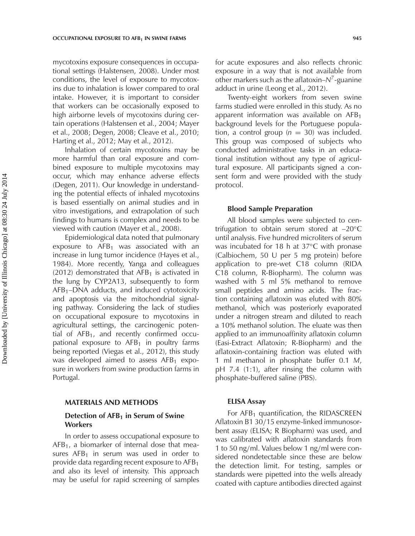mycotoxins exposure consequences in occupational settings (Halstensen, 2008). Under most conditions, the level of exposure to mycotoxins due to inhalation is lower compared to oral intake. However, it is important to consider that workers can be occasionally exposed to high airborne levels of mycotoxins during certain operations (Halstensen et al., 2004; Mayer et al., 2008; Degen, 2008; Cleave et al., 2010; Harting et al., 2012; May et al., 2012).

Inhalation of certain mycotoxins may be more harmful than oral exposure and combined exposure to multiple mycotoxins may occur, which may enhance adverse effects (Degen, 2011). Our knowledge in understanding the potential effects of inhaled mycotoxins is based essentially on animal studies and in vitro investigations, and extrapolation of such findings to humans is complex and needs to be viewed with caution (Mayer et al., 2008).

Epidemiological data noted that pulmonary exposure to  $AFB<sub>1</sub>$  was associated with an increase in lung tumor incidence (Hayes et al., 1984). More recently, Yanga and colleagues  $(2012)$  demonstrated that AFB<sub>1</sub> is activated in the lung by CYP2A13, subsequently to form  $AFB<sub>1</sub>$ –DNA adducts, and induced cytotoxicity and apoptosis via the mitochondrial signaling pathway. Considering the lack of studies on occupational exposure to mycotoxins in agricultural settings, the carcinogenic potential of  $AFB<sub>1</sub>$ , and recently confirmed occupational exposure to  $AFB<sub>1</sub>$  in poultry farms being reported (Viegas et al., 2012), this study was developed aimed to assess  $AFB<sub>1</sub>$  exposure in workers from swine production farms in Portugal.

## **MATERIALS AND METHODS**

## **Detection of AFB<sub>1</sub> in Serum of Swine Workers**

In order to assess occupational exposure to  $AFB<sub>1</sub>$ , a biomarker of internal dose that measures  $AFB<sub>1</sub>$  in serum was used in order to provide data regarding recent exposure to  $AFB<sub>1</sub>$ and also its level of intensity. This approach may be useful for rapid screening of samples for acute exposures and also reflects chronic exposure in a way that is not available from other markers such as the aflatoxin–*N*7-guanine adduct in urine (Leong et al., 2012).

Twenty-eight workers from seven swine farms studied were enrolled in this study. As no apparent information was available on  $AFB<sub>1</sub>$ background levels for the Portuguese population, a control group ( $n = 30$ ) was included. This group was composed of subjects who conducted administrative tasks in an educational institution without any type of agricultural exposure. All participants signed a consent form and were provided with the study protocol.

#### **Blood Sample Preparation**

All blood samples were subjected to centrifugation to obtain serum stored at –20◦C until analysis. Five hundred microliters of serum was incubated for 18 h at 37<sup>°</sup>C with pronase (Calbiochem, 50 U per 5 mg protein) before application to pre-wet C18 column (RIDA C18 column, R-Biopharm). The column was washed with 5 ml 5% methanol to remove small peptides and amino acids. The fraction containing aflatoxin was eluted with 80% methanol, which was posteriorly evaporated under a nitrogen stream and diluted to reach a 10% methanol solution. The eluate was then applied to an immunoaffinity aflatoxin column (Easi-Extract Aflatoxin; R-Biopharm) and the aflatoxin-containing fraction was eluted with 1 ml methanol in phosphate buffer 0.1 *M*, pH 7.4 (1:1), after rinsing the column with phosphate-buffered saline (PBS).

## **ELISA Assay**

For  $AFB<sub>1</sub>$  quantification, the RIDASCREEN Aflatoxin B1 30*/*15 enzyme-linked immunosorbent assay (ELISA; R Biopharm) was used, and was calibrated with aflatoxin standards from 1 to 50 ng*/*ml. Values below 1 ng*/*ml were considered nondetectable since these are below the detection limit. For testing, samples or standards were pipetted into the wells already coated with capture antibodies directed against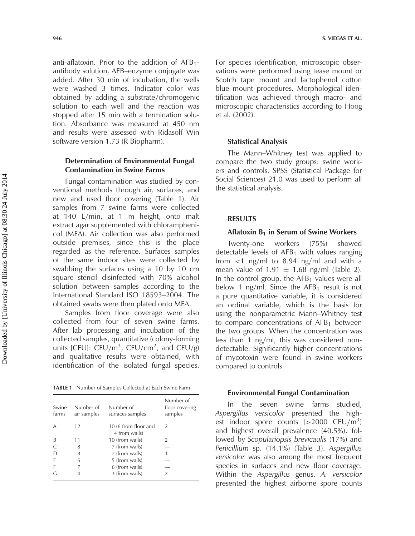anti-aflatoxin. Prior to the addition of  $AFB<sub>1</sub>$ antibody solution, AFB–enzyme conjugate was added. After 30 min of incubation, the wells were washed 3 times. Indicator color was obtained by adding a substrate*/*chromogenic solution to each well and the reaction was stopped after 15 min with a termination solution. Absorbance was measured at 450 nm and results were assessed with Ridasolf Win software version 1.73 (R Biopharm).

## **Determination of Environmental Fungal Contamination in Swine Farms**

Fungal contamination was studied by conventional methods through air, surfaces, and new and used floor covering (Table 1). Air samples from 7 swine farms were collected at 140 L*/*min, at 1 m height, onto malt extract agar supplemented with chloramphenicol (MEA). Air collection was also performed outside premises, since this is the place regarded as the reference. Surfaces samples of the same indoor sites were collected by swabbing the surfaces using a 10 by 10 cm square stencil disinfected with 70% alcohol solution between samples according to the International Standard ISO 18593–2004. The obtained swabs were then plated onto MEA.

Samples from floor coverage were also collected from four of seven swine farms. After lab processing and incubation of the collected samples, quantitative (colony-forming units [CFU]: CFU/m<sup>3</sup>, CFU/cm<sup>2</sup>, and CFU/g) and qualitative results were obtained, with identification of the isolated fungal species.

**TABLE 1.** Number of Samples Collected at Each Swine Farm

| Swine<br>farms | Number of<br>air samples | Number of<br>surfaces samples         | Number of<br>floor covering<br>samples |  |
|----------------|--------------------------|---------------------------------------|----------------------------------------|--|
|                | 12                       | 10 (6 from floor and<br>4 from walls) | 2                                      |  |
| R              | 11                       | 10 (from walls)                       | 2                                      |  |
| C              | 8                        | 7 (from walls)                        |                                        |  |
| D              | 8                        | 7 (from walls)                        | 1                                      |  |
| E              | 6                        | 5 (from walls)                        |                                        |  |
| F              |                          | 6 (from walls)                        |                                        |  |
|                |                          | 3 (from walls)                        | 2                                      |  |

For species identification, microscopic observations were performed using tease mount or Scotch tape mount and lactophenol cotton blue mount procedures. Morphological identification was achieved through macro- and microscopic characteristics according to Hoog et al. (2002).

#### **Statistical Analysis**

The Mann–Whitney test was applied to compare the two study groups: swine workers and controls. SPSS (Statistical Package for Social Sciences) 21.0 was used to perform all the statistical analysis.

#### **RESULTS**

#### **Aflatoxin B1 in Serum of Swine Workers**

Twenty-one workers (75%) showed detectable levels of  $AFB<sub>1</sub>$  with values ranging from *<*1 ng*/*ml to 8.94 ng*/*ml and with a mean value of 1.91 ± 1.68 ng*/*ml (Table 2). In the control group, the  $AFB<sub>1</sub>$  values were all below 1 ng/ml. Since the  $AFB<sub>1</sub>$  result is not a pure quantitative variable, it is considered an ordinal variable, which is the basis for using the nonparametric Mann–Whitney test to compare concentrations of  $AFB<sub>1</sub>$  between the two groups. When the concentration was less than 1 ng*/*ml, this was considered nondetectable. Significantly higher concentrations of mycotoxin were found in swine workers compared to controls.

#### **Environmental Fungal Contamination**

In the seven swine farms studied, *Aspergillus versicolor* presented the highest indoor spore counts (*>*2000 CFU*/*m3) and highest overall prevalence (40.5%), followed by *Scopulariopsis brevicaulis* (17%) and *Penicillium* sp. (14.1%) (Table 3). *Aspergillus versicolor* was also among the most frequent species in surfaces and new floor coverage. Within the *Aspergillus* genus, *A. versicolor* presented the highest airborne spore counts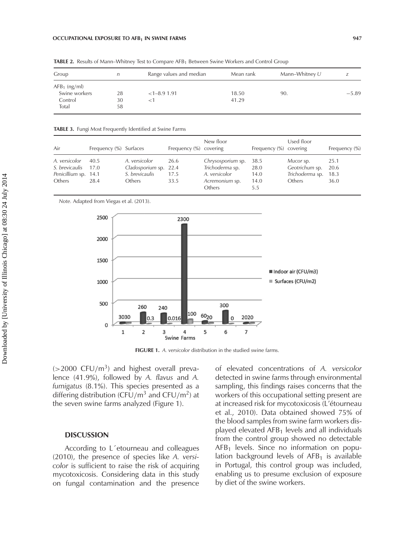#### **OCCUPATIONAL EXPOSURE TO AFB1 IN SWINE FARMS 947**

| Group           | n  | Range values and median | Mean rank | Mann-Whitney U |         |
|-----------------|----|-------------------------|-----------|----------------|---------|
| $AFB_1$ (ng/ml) |    |                         |           |                |         |
| Swine workers   | 28 | $<1-8.9$ 1.91           | 18.50     | 90.            | $-5.89$ |
| Control         | 30 | < ।                     | 41.29     |                |         |
| Total           | 58 |                         |           |                |         |

**TABLE 2.** Results of Mann–Whitney Test to Compare AFB<sub>1</sub> Between Swine Workers and Control Group

**TABLE 3.** Fungi Most Frequently Identified at Swine Farms

| Air                                                     | Frequency (%) Surfaces |                                                          | Frequency (%) covering | New floor                                             | Frequency (%) covering | Used floor                                     | Frequency (%)        |
|---------------------------------------------------------|------------------------|----------------------------------------------------------|------------------------|-------------------------------------------------------|------------------------|------------------------------------------------|----------------------|
| A. versicolor<br>S. brevicaulis<br>Penicillium sp. 14.1 | 40.5<br>17.0           | A. versicolor<br>Cladosporium sp. 22.4<br>S. brevicaulis | 26.6<br>17.5           | Chrysosporium sp.<br>Trichoderma sp.<br>A. versicolor | 38.5<br>28.0<br>14.0   | Mucor sp.<br>Geotrichum sp.<br>Trichoderma sp. | 25.1<br>20.6<br>18.3 |
| Others                                                  | 28.4                   | <b>Others</b>                                            | 33.5                   | Acremonium sp.<br>Others                              | 14.0<br>5.5            | Others                                         | 36.0                 |

*Note.* Adapted from Viegas et al. (2013).



**FIGURE 1.** *A. versicolor* distribution in the studied swine farms.

(*>*2000 CFU*/*m3) and highest overall prevalence (41.9%), followed by *A. flavus* and *A. fumigatus* (8.1%). This species presented as a differing distribution (CFU*/*m<sup>3</sup> and CFU*/*m2) at the seven swine farms analyzed (Figure 1).

#### **DISCUSSION**

According to L´etourneau and colleagues (2010), the presence of species like *A. versicolor* is sufficient to raise the risk of acquiring mycotoxicosis. Considering data in this study on fungal contamination and the presence of elevated concentrations of *A. versicolor* detected in swine farms through environmental sampling, this findings raises concerns that the workers of this occupational setting present are at increased risk for mycotoxicosis (L'étourneau et al., 2010). Data obtained showed 75% of the blood samples from swine farm workers displayed elevated  $AFB<sub>1</sub>$  levels and all individuals from the control group showed no detectable  $AFB<sub>1</sub>$  levels. Since no information on population background levels of  $AFB<sub>1</sub>$  is available in Portugal, this control group was included, enabling us to presume exclusion of exposure by diet of the swine workers.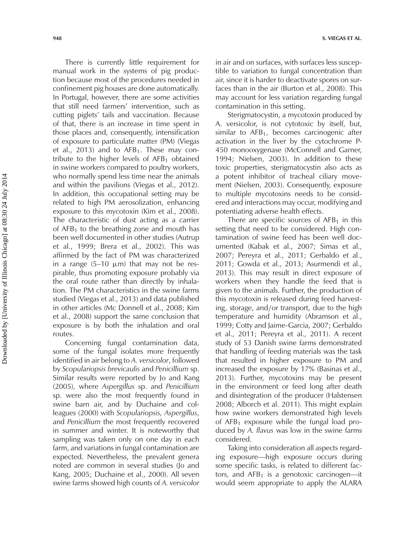There is currently little requirement for manual work in the systems of pig production because most of the procedures needed in confinement pig houses are done automatically. In Portugal, however, there are some activities that still need farmers' intervention, such as cutting piglets' tails and vaccination. Because of that, there is an increase in time spent in those places and, consequently, intensification of exposure to particulate matter (PM) (Viegas et al., 2013) and to  $AFB<sub>1</sub>$ . These may contribute to the higher levels of  $AFB<sub>1</sub>$  obtained in swine workers compared to poultry workers, who normally spend less time near the animals and within the pavilions (Viegas et al., 2012). In addition, this occupational setting may be related to high PM aerosolization, enhancing exposure to this mycotoxin (Kim et al., 2008). The characteristic of dust acting as a carrier of  $AFB<sub>1</sub>$  to the breathing zone and mouth has been well documented in other studies (Autrup et al., 1999; Brera et al., 2002). This was affirmed by the fact of PM was characterized in a range  $(5-10 \mu m)$  that may not be respirable, thus promoting exposure probably via the oral route rather than directly by inhalation. The PM characteristics in the swine farms studied (Viegas et al., 2013) and data published in other articles (Mc Donnell et al., 2008; Kim et al., 2008) support the same conclusion that exposure is by both the inhalation and oral routes.

Concerning fungal contamination data, some of the fungal isolates more frequently identified in air belong to *A. versicolor*, followed by *Scopulariopsis brevicaulis* and *Penicillium* sp. Similar results were reported by Jo and Kang (2005), where *Aspergillus* sp. and *Penicillium* sp. were also the most frequently found in swine barn air, and by Duchaine and colleagues (2000) with *Scopulariopsis, Aspergillus*, and *Penicillium* the most frequently recovered in summer and winter. It is noteworthy that sampling was taken only on one day in each farm, and variations in fungal contamination are expected. Nevertheless, the prevalent genera noted are common in several studies (Jo and Kang, 2005; Duchaine et al., 2000). All seven swine farms showed high counts of *A. versicolor* in air and on surfaces, with surfaces less susceptible to variation to fungal concentration than air, since it is harder to deactivate spores on surfaces than in the air (Burton et al., 2008). This may account for less variation regarding fungal contamination in this setting.

Sterigmatocystin, a mycotoxin produced by A. versicolor, is not cytotoxic by itself, but, similar to  $AFB<sub>1</sub>$ , becomes carcinogenic after activation in the liver by the cytochrome P-450 monooxygenase (McConnell and Garner, 1994; Nielsen, 2003). In addition to these toxic properties, sterigmatocystin also acts as a potent inhibitor of tracheal ciliary movement (Nielsen, 2003). Consequently, exposure to multiple mycotoxins needs to be considered and interactions may occur, modifying and potentiating adverse health effects.

There are specific sources of  $AFB<sub>1</sub>$  in this setting that need to be considered. High contamination of swine feed has been well documented (Kabak et al., 2007; Simas et al., 2007; Pereyra et al., 2011; Gerbaldo et al., 2011; Gowda et al., 2013; Asurmendi et al., 2013). This may result in direct exposure of workers when they handle the feed that is given to the animals. Further, the production of this mycotoxin is released during feed harvesting, storage, and*/*or transport, due to the high temperature and humidity (Abramson et al., 1999; Cotty and Jaime-Garcia, 2007; Gerbaldo et al., 2011; Pereyra et al., 2011). A recent study of 53 Danish swine farms demonstrated that handling of feeding materials was the task that resulted in higher exposure to PM and increased the exposure by 17% (Basinas et al., 2013). Further, mycotoxins may be present in the environment or feed long after death and disintegration of the producer (Halstensen 2008; Alborch et al. 2011). This might explain how swine workers demonstrated high levels of  $AFB_1$  exposure while the fungal load produced by *A. flavus* was low in the swine farms considered.

Taking into consideration all aspects regarding exposure—high exposure occurs during some specific tasks, is related to different factors, and  $AFB<sub>1</sub>$  is a genotoxic carcinogen—it would seem appropriate to apply the ALARA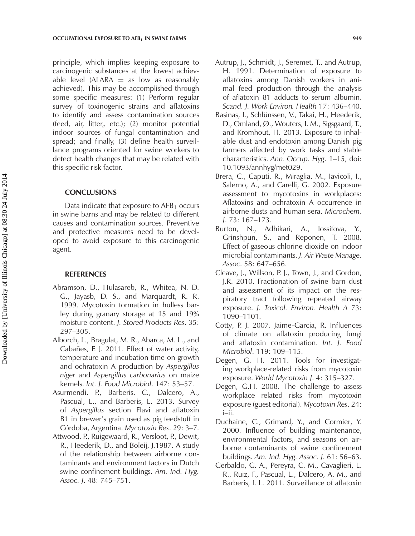principle, which implies keeping exposure to carcinogenic substances at the lowest achievable level (ALARA  $=$  as low as reasonably achieved). This may be accomplished through some specific measures: (1) Perform regular survey of toxinogenic strains and aflatoxins to identify and assess contamination sources (feed, air, litter, etc.); (2) monitor potential indoor sources of fungal contamination and spread; and finally, (3) define health surveillance programs oriented for swine workers to detect health changes that may be related with this specific risk factor.

#### **CONCLUSIONS**

Data indicate that exposure to  $AFB<sub>1</sub>$  occurs in swine barns and may be related to different causes and contamination sources. Preventive and protective measures need to be developed to avoid exposure to this carcinogenic agent.

### **REFERENCES**

- Abramson, D., Hulasareb, R., Whitea, N. D. G., Jayasb, D. S., and Marquardt, R. R. 1999. Mycotoxin formation in hulless barley during granary storage at 15 and 19% moisture content. *J. Stored Products Res*. 35: 297–305.
- Alborch, L., Bragulat, M. R., Abarca, M. L., and Cabañes, F. J. 2011. Effect of water activity, temperature and incubation time on growth and ochratoxin A production by *Aspergillus niger* and *Aspergillus carbonarius* on maize kernels. *Int. J. Food Microbiol*. 147: 53–57.
- Asurmendi, P., Barberis, C., Dalcero, A., Pascual, L., and Barberis, L. 2013. Survey of *Aspergillus* section Flavi and aflatoxin B1 in brewer's grain used as pig feedstuff in Córdoba, Argentina. *Mycotoxin Res*. 29: 3–7.
- Attwood, P., Ruigewaard, R., Versloot, P., Dewit, R., Heederik, D., and Boleij, J.1987. A study of the relationship between airborne contaminants and environment factors in Dutch swine confinement buildings. *Am. Ind. Hyg. Assoc. J*. 48: 745–751.
- Autrup, J., Schmidt, J., Seremet, T., and Autrup, H. 1991. Determination of exposure to aflatoxins among Danish workers in animal feed production through the analysis of aflatoxin 81 adducts to serum albumin. *Scand. J. Work Environ. Health* 17: 436–440.
- Basinas, I., Schlünssen, V., Takai, H., Heederik, D., Omland, Ø., Wouters, I. M., Sigsgaard, T., and Kromhout, H. 2013. Exposure to inhalable dust and endotoxin among Danish pig farmers affected by work tasks and stable characteristics. *Ann. Occup. Hyg*. 1–15, doi: 10.1093/annhyg/met029.
- Brera, C., Caputi, R., Miraglia, M., Iavicoli, I., Salerno, A., and Carelli, G. 2002. Exposure assessment to mycotoxins in workplaces: Aflatoxins and ochratoxin A occurrence in airborne dusts and human sera. *Microchem*. *J*. 73: 167–173.
- Burton, N., Adhikari, A., Iossifova, Y., Grinshpun, S., and Reponen, T. 2008. Effect of gaseous chlorine dioxide on indoor microbial contaminants. *J. Air Waste Manage. Assoc*. 58: 647–656.
- Cleave, J., Willson, P. J., Town, J., and Gordon, J.R. 2010. Fractionation of swine barn dust and assessment of its impact on the respiratory tract following repeated airway exposure. *J. Toxicol. Environ. Health A* 73: 1090–1101.
- Cotty, P. J. 2007. Jaime-Garcia, R. Influences of climate on aflatoxin producing fungi and aflatoxin contamination. *Int. J. Food Microbiol*. 119: 109–115.
- Degen, G. H. 2011. Tools for investigating workplace-related risks from mycotoxin exposure. *World Mycotoxin J*. 4: 315–327.
- Degen, G.H. 2008. The challenge to assess workplace related risks from mycotoxin exposure (guest editorial). *Mycotoxin Res*. 24: i–ii.
- Duchaine, C., Grimard, Y., and Cormier, Y. 2000. Influence of building maintenance, environmental factors, and seasons on airborne contaminants of swine confinement buildings. *Am. Ind. Hyg. Assoc. J*. 61: 56–63.
- Gerbaldo, G. A., Pereyra, C. M., Cavaglieri, L. R., Ruiz, F., Pascual, L., Dalcero, A. M., and Barberis, I. L. 2011. Surveillance of aflatoxin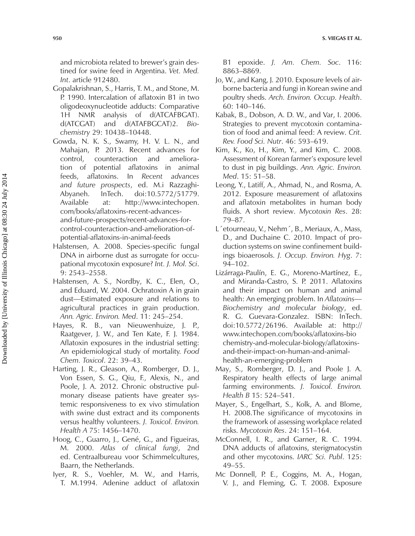and microbiota related to brewer's grain destined for swine feed in Argentina. *Vet. Med. Int*. article 912480.

- Gopalakrishnan, S., Harris, T. M., and Stone, M. P. 1990. Intercalation of aflatoxin B1 in two oligodeoxynucleotide adducts: Comparative 1H NMR analysis of d(ATCAFBGAT). d(ATCGAT) and d(ATAFBGCAT)2. *Biochemistry* 29: 10438–10448.
- Gowda, N. K. S., Swamy, H. V. L. N., and Mahajan, P. 2013. Recent advances for control, counteraction and amelioration of potential aflatoxins in animal feeds, aflatoxins. In *Recent advances and future prospects*, ed. M.i Razzaghi-Abyaneh. InTech. doi:10.5772*/*51779. Available at: http://www.intechopen. com/books/aflatoxins-recent-advancesand-future-prospects/recent-advances-forcontrol-counteraction-and-amelioration-ofpotential-aflatoxins-in-animal-feeds
- Halstensen, A. 2008. Species-specific fungal DNA in airborne dust as surrogate for occupational mycotoxin exposure? *Int. J. Mol. Sci*. 9: 2543–2558.
- Halstensen, A. S., Nordby, K. C., Elen, O., and Eduard, W. 2004. Ochratoxin A in grain dust—Estimated exposure and relations to agricultural practices in grain production. *Ann. Agric. Environ. Med*. 11: 245–254.
- Hayes, R. B., van Nieuwenhuize, J. P., Raatgever, J. W., and Ten Kate, F. J. 1984. Aflatoxin exposures in the industrial setting: An epidemiological study of mortality. *Food Chem. Toxicol*. 22: 39–43.
- Harting, J. R., Gleason, A., Romberger, D. J., Von Essen, S. G., Qiu, F., Alexis, N., and Poole, J. A. 2012. Chronic obstructive pulmonary disease patients have greater systemic responsiveness to ex vivo stimulation with swine dust extract and its components versus healthy volunteers. *J. Toxicol. Environ. Health A* 75: 1456–1470.
- Hoog, C., Guarro, J., Gené, G., and Figueiras, M. 2000. *Atlas of clinical fungi*, 2nd ed. Centraalbureau voor Schimmelcultures, Baarn, the Netherlands.
- Iyer, R. S., Voehler, M. W., and Harris, T. M.1994. Adenine adduct of aflatoxin

B1 epoxide. *J. Am. Chem. Soc*. 116: 8863–8869.

- Jo, W., and Kang, J. 2010. Exposure levels of airborne bacteria and fungi in Korean swine and poultry sheds. *Arch. Environ. Occup. Health*. 60: 140–146.
- Kabak, B., Dobson, A. D. W., and Var, I. 2006. Strategies to prevent mycotoxin contamination of food and animal feed: A review. *Crit. Rev. Food Sci. Nutr*. 46: 593–619.
- Kim, K., Ko, H., Kim, Y., and Kim, C. 2008. Assessment of Korean farmer's exposure level to dust in pig buildings. *Ann. Agric. Environ. Med*. 15: 51–58.
- Leong, Y., Latiff, A., Ahmad, N., and Rosma, A. 2012. Exposure measurement of aflatoxins and aflatoxin metabolites in human body fluids. A short review. *Mycotoxin Res*. 28: 79–87.
- L´etourneau, V., Nehm´, B., Meriaux, A., Mass, D., and Duchaine C. 2010. Impact of production systems on swine confinement buildings bioaerosols. *J. Occup. Environ. Hyg*. 7: 94–102.
- Lizárraga-Paulín, E. G., Moreno-Martínez, E., and Miranda-Castro, S. P. 2011. Aflatoxins and their impact on human and animal health: An emerging problem. In *Aflatoxins— Biochemistry and molecular biology*, ed. R. G. Guevara-Gonzalez. ISBN: InTech. doi:10.5772*/*26196. Available at: http:// www.intechopen.com/books/aflatoxins-bio chemistry-and-molecular-biology/aflatoxinsand-their-impact-on-human-and-animalhealth-an-emerging-problem
- May, S., Romberger, D. J., and Poole J. A. Respiratory health effects of large animal farming environments. *J. Toxicol. Environ. Health B* 15: 524–541.
- Mayer, S., Engelhart, S., Kolk, A. and Blome, H. 2008.The significance of mycotoxins in the framework of assessing workplace related risks. *Mycotoxin Res*. 24: 151–164.
- McConnell, I. R., and Garner, R. C. 1994. DNA adducts of aflatoxins, sterigmatocystin and other mycotoxins. *IARC Sci. Publ*. 125: 49–55.
- Mc Donnell, P. E., Coggins, M. A., Hogan, V. J., and Fleming, G. T. 2008. Exposure